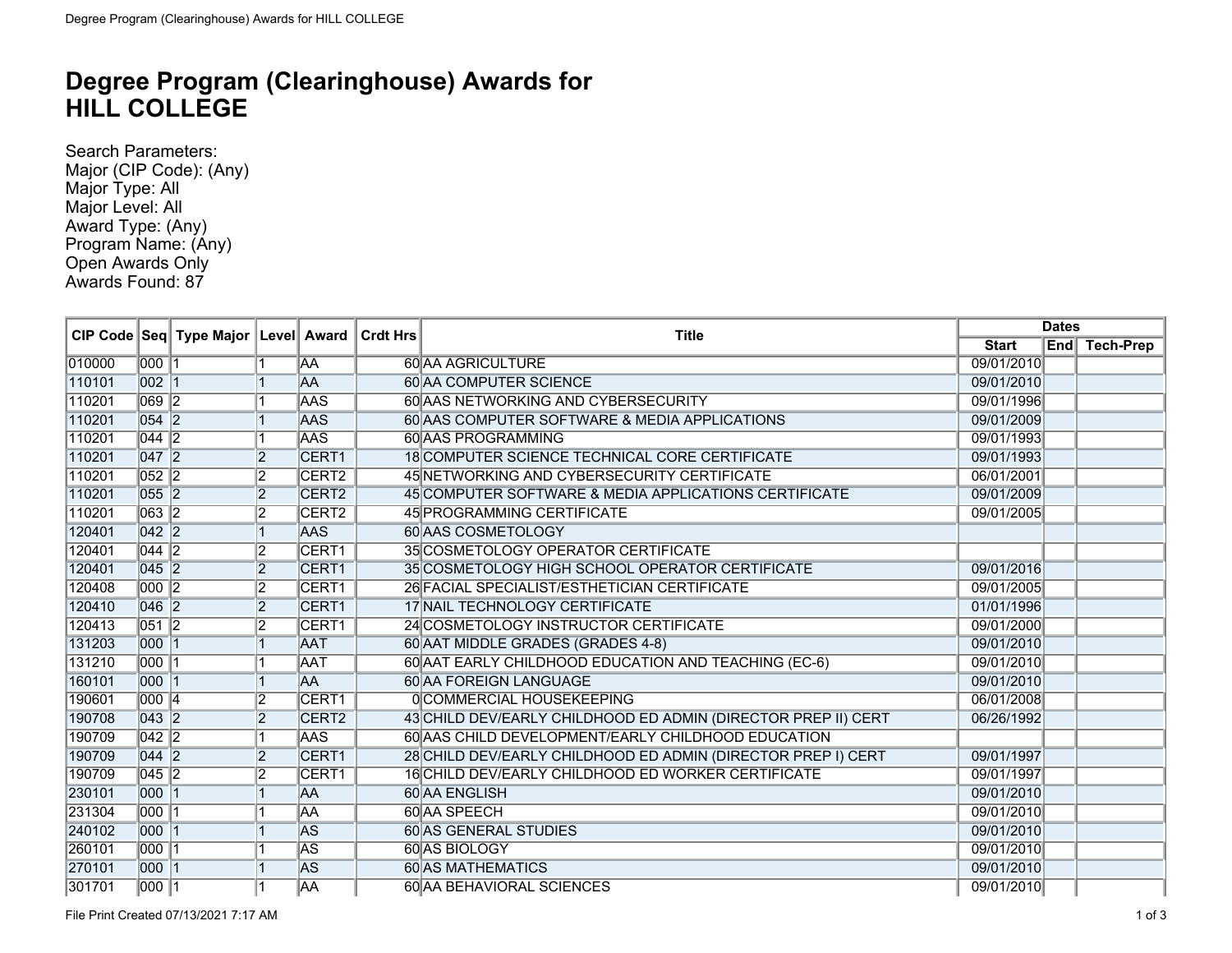## **Degree Program (Clearinghouse) Awards for HILL COLLEGE**

Search Parameters: Major (CIP Code): (Any) Major Type: All Major Level: All Award Type: (Any) Program Name: (Any) Open Awards Only Awards Found: 87

|        |                    | CIP Code Seq Type Major Level Award |                |                   | ∣ Crdt Hrs | <b>Title</b>                                                  | <b>Dates</b> |  |               |
|--------|--------------------|-------------------------------------|----------------|-------------------|------------|---------------------------------------------------------------|--------------|--|---------------|
|        |                    |                                     |                |                   |            |                                                               | <b>Start</b> |  | End Tech-Prep |
| 010000 | 000 1              |                                     |                | AA                |            | <b>60 AA AGRICULTURE</b>                                      | 09/01/2010   |  |               |
| 110101 | $\overline{002}$ 1 |                                     |                | <b>AA</b>         |            | <b>60 AA COMPUTER SCIENCE</b>                                 | 09/01/2010   |  |               |
| 110201 | $\overline{069}$ 2 |                                     |                | <b>AAS</b>        |            | 60 AAS NETWORKING AND CYBERSECURITY                           | 09/01/1996   |  |               |
| 110201 | $\boxed{054}$      |                                     |                | <b>AAS</b>        |            | 60 AAS COMPUTER SOFTWARE & MEDIA APPLICATIONS                 | 09/01/2009   |  |               |
| 110201 | $\sqrt{044}$ 2     |                                     |                | <b>AAS</b>        |            | 60 AAS PROGRAMMING                                            | 09/01/1993   |  |               |
| 110201 | $\overline{047}$ 2 |                                     | $\overline{2}$ | CERT <sub>1</sub> |            | 18 COMPUTER SCIENCE TECHNICAL CORE CERTIFICATE                | 09/01/1993   |  |               |
| 110201 | $\overline{052}$ 2 |                                     | 12             | CERT <sub>2</sub> |            | 45 NETWORKING AND CYBERSECURITY CERTIFICATE                   | 06/01/2001   |  |               |
| 110201 | $055$ 2            |                                     | $\overline{2}$ | CERT <sub>2</sub> |            | 45 COMPUTER SOFTWARE & MEDIA APPLICATIONS CERTIFICATE         | 09/01/2009   |  |               |
| 110201 | $\overline{063}$ 2 |                                     | $\overline{2}$ | CERT <sub>2</sub> |            | 45 PROGRAMMING CERTIFICATE                                    | 09/01/2005   |  |               |
| 120401 | $\overline{042}$ 2 |                                     | 1              | <b>AAS</b>        |            | 60 AAS COSMETOLOGY                                            |              |  |               |
| 120401 | $\sqrt{044}$ 2     |                                     | $\overline{2}$ | CERT <sub>1</sub> |            | 35 COSMETOLOGY OPERATOR CERTIFICATE                           |              |  |               |
| 120401 | $\overline{045}$ 2 |                                     | 2              | CERT1             |            | 35 COSMETOLOGY HIGH SCHOOL OPERATOR CERTIFICATE               | 09/01/2016   |  |               |
| 120408 | 000 2              |                                     | 12             | CERT1             |            | 26 FACIAL SPECIALIST/ESTHETICIAN CERTIFICATE                  | 09/01/2005   |  |               |
| 120410 | $\overline{046}$ 2 |                                     | 2              | CERT1             |            | 17 NAIL TECHNOLOGY CERTIFICATE                                | 01/01/1996   |  |               |
| 120413 | $\overline{051}$ 2 |                                     | 12             | CERT1             |            | 24 COSMETOLOGY INSTRUCTOR CERTIFICATE                         | 09/01/2000   |  |               |
| 131203 | $000$ 1            |                                     |                | <b>AAT</b>        |            | 60 AAT MIDDLE GRADES (GRADES 4-8)                             | 09/01/2010   |  |               |
| 131210 | 000 1              |                                     |                | <b>AAT</b>        |            | 60 AAT EARLY CHILDHOOD EDUCATION AND TEACHING (EC-6)          | 09/01/2010   |  |               |
| 160101 | 000 1              |                                     |                | <b>AA</b>         |            | <b>60 AA FOREIGN LANGUAGE</b>                                 | 09/01/2010   |  |               |
| 190601 | 000 4              |                                     | 12             | CERT1             |            | 0COMMERCIAL HOUSEKEEPING                                      | 06/01/2008   |  |               |
| 190708 | $\overline{043}$ 2 |                                     | $\overline{2}$ | CERT <sub>2</sub> |            | 43 CHILD DEV/EARLY CHILDHOOD ED ADMIN (DIRECTOR PREP II) CERT | 06/26/1992   |  |               |
| 190709 | $\sqrt{042}$ 2     |                                     | 1              | <b>AAS</b>        |            | 60 AAS CHILD DEVELOPMENT/EARLY CHILDHOOD EDUCATION            |              |  |               |
| 190709 | $\overline{044}$ 2 |                                     | 2              | CERT1             |            | 28 CHILD DEV/EARLY CHILDHOOD ED ADMIN (DIRECTOR PREP I) CERT  | 09/01/1997   |  |               |
| 190709 | $\sqrt{045}$ 2     |                                     | 12             | CERT1             |            | 16 CHILD DEV/EARLY CHILDHOOD ED WORKER CERTIFICATE            | 09/01/1997   |  |               |
| 230101 | 000 1              |                                     |                | <b>AA</b>         |            | 60 AA ENGLISH                                                 | 09/01/2010   |  |               |
| 231304 | 000 1              |                                     |                | <b>AA</b>         |            | 60 AA SPEECH                                                  | 09/01/2010   |  |               |
| 240102 | $000$ 1            |                                     |                | <b>AS</b>         |            | <b>60 AS GENERAL STUDIES</b>                                  | 09/01/2010   |  |               |
| 260101 | 000 1              |                                     |                | <b>AS</b>         |            | 60 AS BIOLOGY                                                 | 09/01/2010   |  |               |
| 270101 | $000$ 1            |                                     |                | <b>AS</b>         |            | <b>60 AS MATHEMATICS</b>                                      | 09/01/2010   |  |               |
| 301701 | 000 1              |                                     |                | <b>JAA</b>        |            | 60 AA BEHAVIORAL SCIENCES                                     | 09/01/2010   |  |               |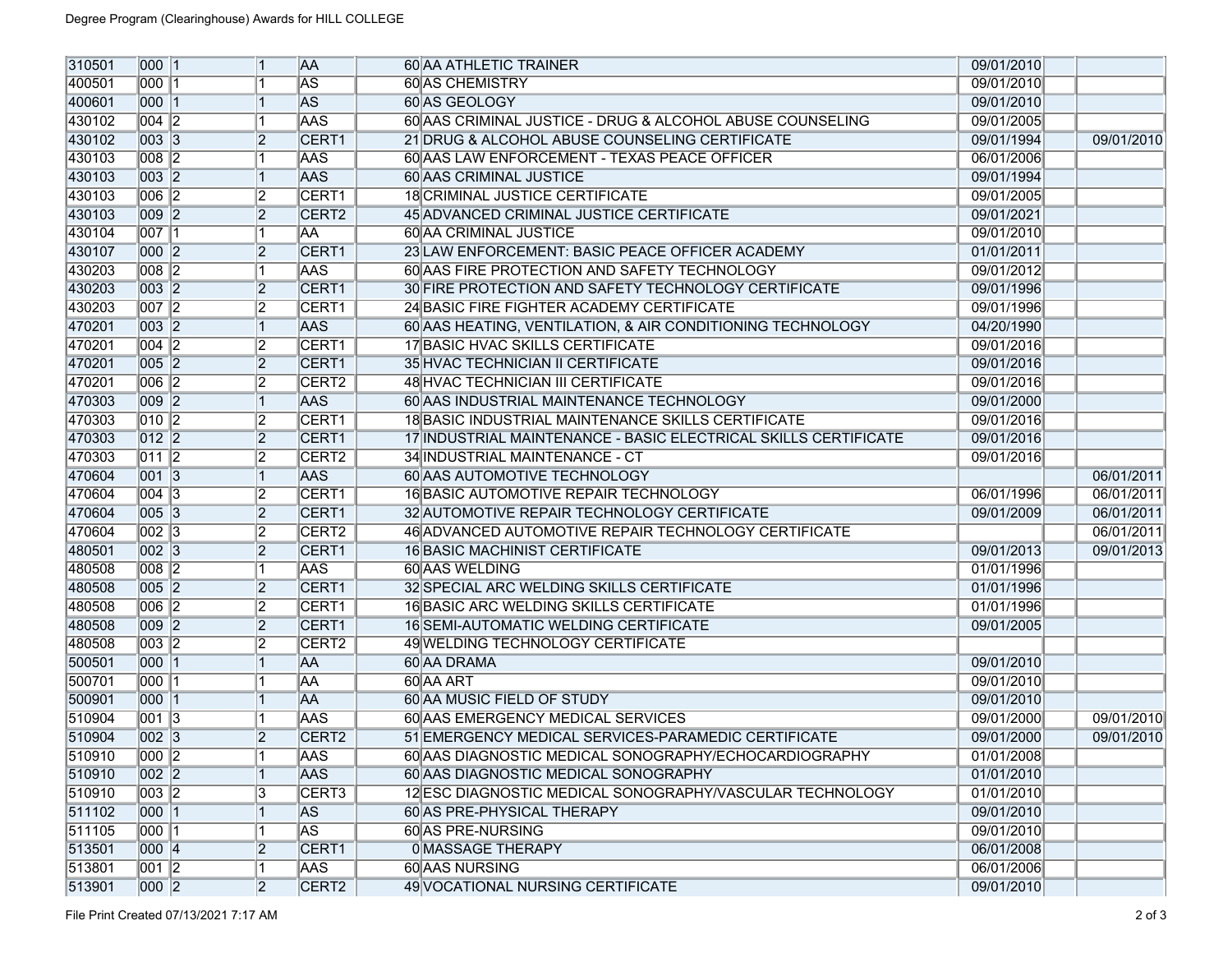| 310501 | 000 1              |                | <b>AA</b>                | 60 AA ATHLETIC TRAINER                                          | 09/01/2010 |            |
|--------|--------------------|----------------|--------------------------|-----------------------------------------------------------------|------------|------------|
| 400501 | 000  1             |                | $ \overline{\text{AS}} $ | <b>60 AS CHEMISTRY</b>                                          | 09/01/2010 |            |
| 400601 | 000 1              |                | <b>AS</b>                | 60 AS GEOLOGY                                                   | 09/01/2010 |            |
| 430102 | 004   2            |                | <b>AAS</b>               | 60 AAS CRIMINAL JUSTICE - DRUG & ALCOHOL ABUSE COUNSELING       | 09/01/2005 |            |
| 430102 | 003 3              | 2              | <b>CERT1</b>             | 21 DRUG & ALCOHOL ABUSE COUNSELING CERTIFICATE                  | 09/01/1994 | 09/01/2010 |
| 430103 | $\overline{008}$ 2 |                | <b>AAS</b>               | 60 AAS LAW ENFORCEMENT - TEXAS PEACE OFFICER                    | 06/01/2006 |            |
| 430103 | 003 2              |                | <b>AAS</b>               | <b>60 AAS CRIMINAL JUSTICE</b>                                  | 09/01/1994 |            |
| 430103 | $\overline{006}$ 2 | 12             | CERT1                    | <b>18 CRIMINAL JUSTICE CERTIFICATE</b>                          | 09/01/2005 |            |
| 430103 | 009 2              | 2              | <b>CERT2</b>             | 45 ADVANCED CRIMINAL JUSTICE CERTIFICATE                        | 09/01/2021 |            |
| 430104 | $\overline{007}$ 1 |                | laa                      | <b>60 AA CRIMINAL JUSTICE</b>                                   | 09/01/2010 |            |
| 430107 | 000 2              | 2              | <b>CERT1</b>             | 23 LAW ENFORCEMENT: BASIC PEACE OFFICER ACADEMY                 | 01/01/2011 |            |
| 430203 | $\overline{008}$ 2 |                | <b>AAS</b>               | 60 AAS FIRE PROTECTION AND SAFETY TECHNOLOGY                    | 09/01/2012 |            |
| 430203 | 003 2              | 2              | CERT1                    | 30 FIRE PROTECTION AND SAFETY TECHNOLOGY CERTIFICATE            | 09/01/1996 |            |
| 430203 | 007 2              | 12             | CERT1                    | 24 BASIC FIRE FIGHTER ACADEMY CERTIFICATE                       | 09/01/1996 |            |
| 470201 | 003 2              |                | <b>AAS</b>               | 60 AAS HEATING, VENTILATION, & AIR CONDITIONING TECHNOLOGY      | 04/20/1990 |            |
| 470201 | $\overline{004}$ 2 | 12             | CERT1                    | <b>17 BASIC HVAC SKILLS CERTIFICATE</b>                         | 09/01/2016 |            |
| 470201 | 005 2              | $\overline{2}$ | CERT1                    | 35 HVAC TECHNICIAN II CERTIFICATE                               | 09/01/2016 |            |
| 470201 | $\overline{006}$ 2 | 12             | CERT <sub>2</sub>        | <b>48 HVAC TECHNICIAN III CERTIFICATE</b>                       | 09/01/2016 |            |
| 470303 | 009 2              |                | <b>AAS</b>               | 60 AAS INDUSTRIAL MAINTENANCE TECHNOLOGY                        | 09/01/2000 |            |
| 470303 | $\overline{010}$ 2 | 12             | CERT1                    | 18 BASIC INDUSTRIAL MAINTENANCE SKILLS CERTIFICATE              | 09/01/2016 |            |
| 470303 | $\overline{012}$ 2 | 2              | CERT1                    | 17 INDUSTRIAL MAINTENANCE - BASIC ELECTRICAL SKILLS CERTIFICATE | 09/01/2016 |            |
| 470303 | $\sqrt{011}$ 2     | 2              | CERT <sub>2</sub>        | 34 INDUSTRIAL MAINTENANCE - CT                                  | 09/01/2016 |            |
| 470604 | 001 3              |                | <b>AAS</b>               | 60 AAS AUTOMOTIVE TECHNOLOGY                                    |            | 06/01/2011 |
| 470604 | $\sqrt{004}$ 3     | 12             | CERT1                    | 16 BASIC AUTOMOTIVE REPAIR TECHNOLOGY                           | 06/01/1996 | 06/01/2011 |
| 470604 | 005 3              | 2              | CERT1                    | 32 AUTOMOTIVE REPAIR TECHNOLOGY CERTIFICATE                     | 09/01/2009 | 06/01/2011 |
| 470604 | $\overline{002}$ 3 | 12             | CERT <sub>2</sub>        | 46 ADVANCED AUTOMOTIVE REPAIR TECHNOLOGY CERTIFICATE            |            | 06/01/2011 |
| 480501 | 002 3              | $\overline{2}$ | CERT1                    | <b>16 BASIC MACHINIST CERTIFICATE</b>                           | 09/01/2013 | 09/01/2013 |
| 480508 | $\overline{008}$ 2 |                | <b>AAS</b>               | 60 AAS WELDING                                                  | 01/01/1996 |            |
| 480508 | 005 2              | 2              | CERT1                    | 32 SPECIAL ARC WELDING SKILLS CERTIFICATE                       | 01/01/1996 |            |
| 480508 | $\overline{006}$ 2 | 12             | CERT1                    | <b>16 BASIC ARC WELDING SKILLS CERTIFICATE</b>                  | 01/01/1996 |            |
| 480508 | 009 2              | 2              | CERT1                    | <b>16 SEMI-AUTOMATIC WELDING CERTIFICATE</b>                    | 09/01/2005 |            |
| 480508 | 003 2              | 2              | CERT <sub>2</sub>        | 49 WELDING TECHNOLOGY CERTIFICATE                               |            |            |
| 500501 | 000 1              |                | <b>AA</b>                | 60 AA DRAMA                                                     | 09/01/2010 |            |
| 500701 | 000  1             |                | laa                      | 60 AA ART                                                       | 09/01/2010 |            |
| 500901 | 000 1              |                | <b>AA</b>                | 60 AA MUSIC FIELD OF STUDY                                      | 09/01/2010 |            |
| 510904 | 001   3            |                | <b>AAS</b>               | 60 AAS EMERGENCY MEDICAL SERVICES                               | 09/01/2000 | 09/01/2010 |
| 510904 | $\overline{002}$ 3 | $\overline{2}$ | CERT <sub>2</sub>        | 51 EMERGENCY MEDICAL SERVICES-PARAMEDIC CERTIFICATE             | 09/01/2000 | 09/01/2010 |
| 510910 | 000 2              | 冈              | <b>AAS</b>               | 60 AAS DIAGNOSTIC MEDICAL SONOGRAPHY/ECHOCARDIOGRAPHY           | 01/01/2008 |            |
| 510910 | 002 2              |                | <b>AAS</b>               | 60 AAS DIAGNOSTIC MEDICAL SONOGRAPHY                            | 01/01/2010 |            |
| 510910 | 003 2              | 3              | CERT <sub>3</sub>        | 12 ESC DIAGNOSTIC MEDICAL SONOGRAPHY/VASCULAR TECHNOLOGY        | 01/01/2010 |            |
| 511102 | 000 1              |                | <b>AS</b>                | 60 AS PRE-PHYSICAL THERAPY                                      | 09/01/2010 |            |
| 511105 | 000 1              |                | <b>AS</b>                | 60 AS PRE-NURSING                                               | 09/01/2010 |            |
| 513501 | 000 4              | $\overline{2}$ | CERT1                    | <b>0 MASSAGE THERAPY</b>                                        | 06/01/2008 |            |
| 513801 | 001 2              |                | <b>AAS</b>               | 60 AAS NURSING                                                  | 06/01/2006 |            |
| 513901 | 000 2              | 2              | CERT <sub>2</sub>        | 49 VOCATIONAL NURSING CERTIFICATE                               | 09/01/2010 |            |